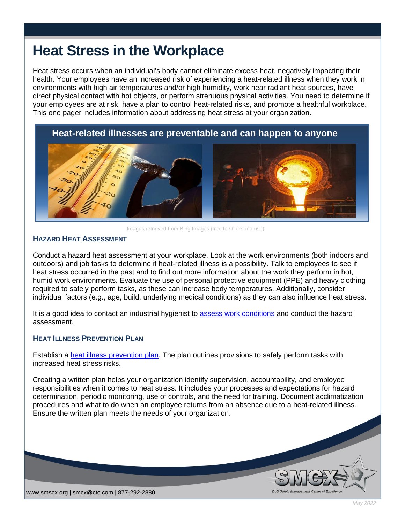# **Heat Stress in the Workplace**

Heat stress occurs when an individual's body cannot eliminate excess heat, negatively impacting their health. Your employees have an increased risk of experiencing a heat-related illness when they work in environments with high air temperatures and/or high humidity, work near radiant heat sources, have direct physical contact with hot objects, or perform strenuous physical activities. You need to determine if your employees are at risk, have a plan to control heat-related risks, and promote a healthful workplace. This one pager includes information about addressing heat stress at your organization.

# **Heat-related illnesses are preventable and can happen to anyone**



Images retrieved from Bing Images (free to share and use)

### **HAZARD HEAT ASSESSMENT**

 $\overline{\phantom{a}}$ 

Conduct a hazard heat assessment at your workplace. Look at the work environments (both indoors and outdoors) and job tasks to determine if heat-related illness is a possibility. Talk to employees to see if heat stress occurred in the past and to find out more information about the work they perform in hot, humid work environments. Evaluate the use of personal protective equipment (PPE) and heavy clothing required to safely perform tasks, as these can increase body temperatures. Additionally, consider individual factors (e.g., age, build, underlying medical conditions) as they can also influence heat stress.

It is a good idea to contact an industrial hygienist to [assess work conditions](https://www.osha.gov/dts/osta/otm/otm_iii/otm_iii_4.html#heat_hazardassessment) and conduct the hazard assessment.

## **HEAT ILLNESS PREVENTION PLAN**

Establish a [heat illness prevention plan.](https://www.osha.gov/heat-exposure/planning) The plan outlines provisions to safely perform tasks with increased heat stress risks.

Creating a written plan helps your organization identify supervision, accountability, and employee responsibilities when it comes to heat stress. It includes your processes and expectations for hazard determination, periodic monitoring, use of controls, and the need for training. Document acclimatization procedures and what to do when an employee returns from an absence due to a heat-related illness. Ensure the written plan meets the needs of your organization.